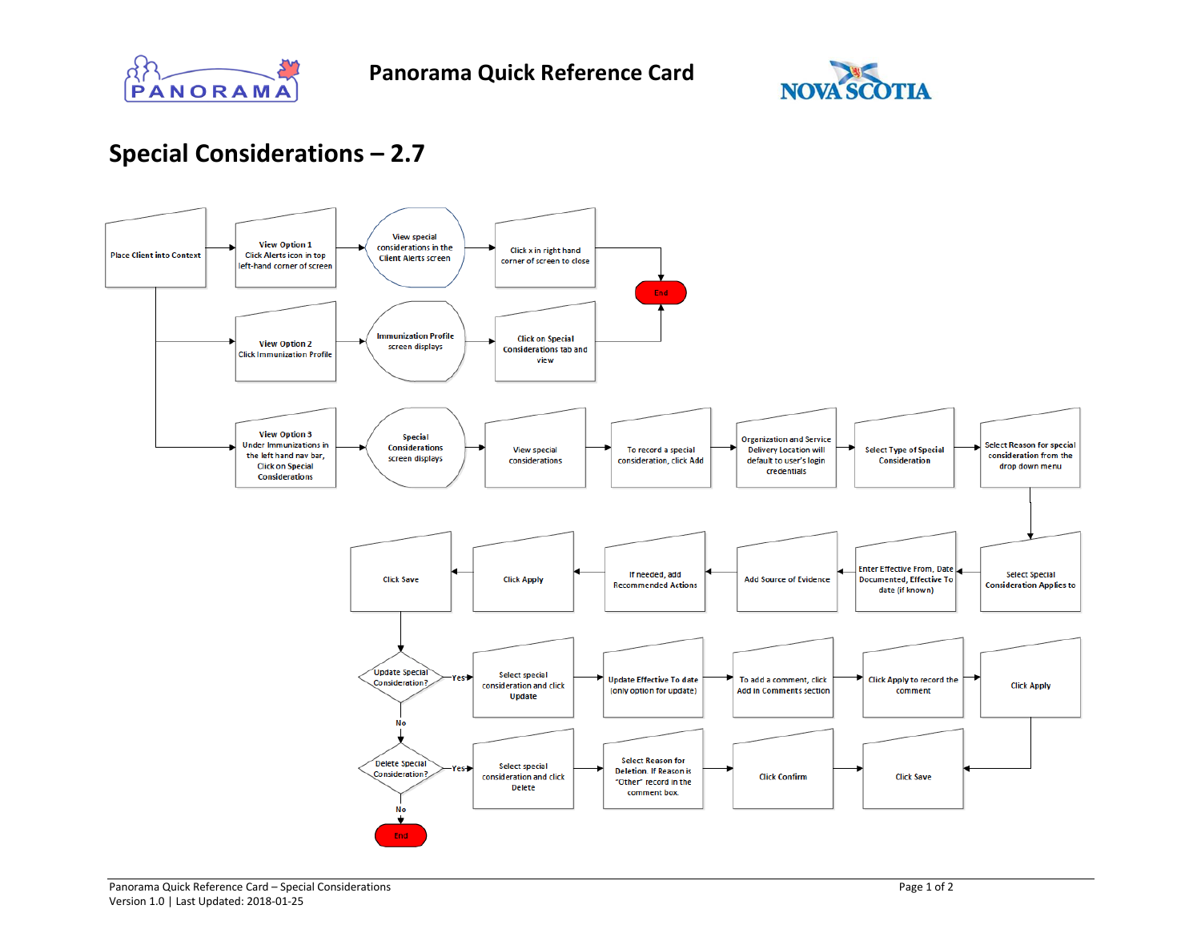



## **Special Considerations – 2.7**